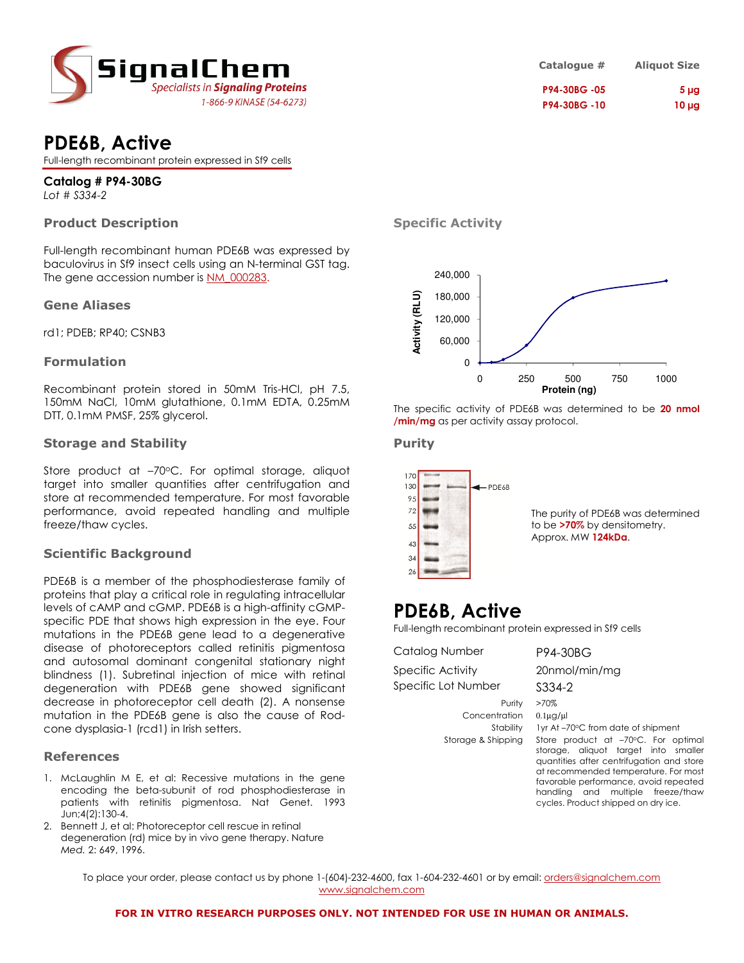

# PDE6B, Active

Full-length recombinant protein expressed in Sf9 cells

#### Catalog # P94-30BG Lot # S334-2

### Product Description

Full-length recombinant human PDE6B was expressed by baculovirus in Sf9 insect cells using an N-terminal GST tag. The gene accession number is NM\_000283.

#### Gene Aliases

rd1; PDEB; RP40; CSNB3

#### Formulation

Recombinant protein stored in 50mM Tris-HCl, pH 7.5, 150mM NaCl, 10mM glutathione, 0.1mM EDTA, 0.25mM DTT, 0.1mM PMSF, 25% glycerol.

#### Storage and Stability

Store product at -70°C. For optimal storage, aliquot target into smaller quantities after centrifugation and store at recommended temperature. For most favorable performance, avoid repeated handling and multiple freeze/thaw cycles.

#### Scientific Background

PDE6B is a member of the phosphodiesterase family of proteins that play a critical role in regulating intracellular levels of cAMP and cGMP. PDE6B is a high-affinity cGMPspecific PDE that shows high expression in the eye. Four mutations in the PDE6B gene lead to a degenerative disease of photoreceptors called retinitis pigmentosa and autosomal dominant congenital stationary night blindness (1). Subretinal injection of mice with retinal degeneration with PDE6B gene showed significant decrease in photoreceptor cell death (2). A nonsense mutation in the PDE6B gene is also the cause of Rodcone dysplasia-1 (rcd1) in Irish setters.

#### References

- 1. McLaughlin M E, et al: Recessive mutations in the gene encoding the beta-subunit of rod phosphodiesterase in patients with retinitis pigmentosa. Nat Genet. 1993 Jun;4(2):130-4.
- 2. Bennett J, et al: Photoreceptor cell rescue in retinal degeneration (rd) mice by in vivo gene therapy. Nature Med. 2: 649, 1996.

| Catalogue # | <b>Aliquot Size</b> |
|-------------|---------------------|
| P94-30BG-05 | 5 <sub>µq</sub>     |
| P94-30BG-10 | $10 \mu g$          |

#### Specific Activity



The specific activity of PDE6B was determined to be 20 nmol /min/mg as per activity assay protocol.

#### Purity



## PDE6B, Active

Full-length recombinant protein expressed in Sf9 cells

| Catalog Number                                             | P94-30BG                                                                                                                                                                                                                                                                                                                                                |
|------------------------------------------------------------|---------------------------------------------------------------------------------------------------------------------------------------------------------------------------------------------------------------------------------------------------------------------------------------------------------------------------------------------------------|
| Specific Activity                                          | 20nmol/min/mg                                                                                                                                                                                                                                                                                                                                           |
| Specific Lot Number                                        | S334-2                                                                                                                                                                                                                                                                                                                                                  |
| Purity<br>Concentration<br>Stability<br>Storage & Shipping | >70%<br>$0.1\mu$ g/ $\mu$<br>1yr At-70°C from date of shipment<br>Store product at -70°C. For optimal<br>storage, aliquot target into smaller<br>quantities after centrifugation and store<br>at recommended temperature. For most<br>favorable performance, avoid repeated<br>handling and multiple freeze/thaw<br>cycles. Product shipped on dry ice. |

To place your order, please contact us by phone 1-(604)-232-4600, fax 1-604-232-4601 or by email: <u>orders@signalchem.com</u> www.signalchem.com